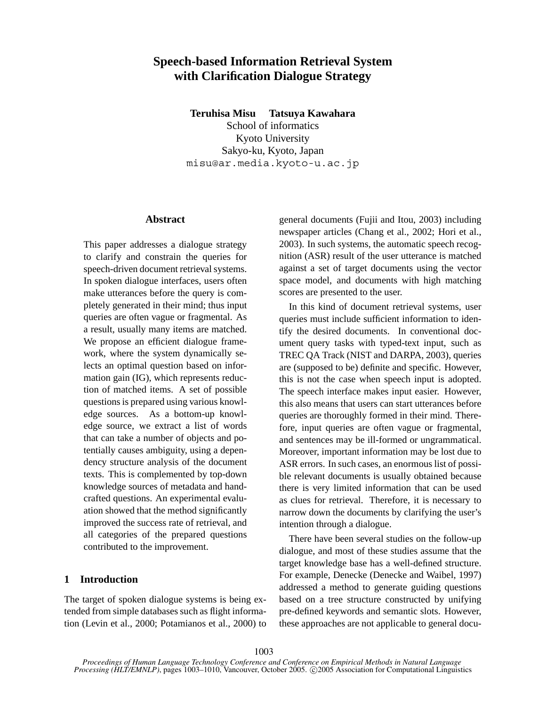# **Speech-based Information Retrieval System with Clarification Dialogue Strategy**

**Teruhisa Misu Tatsuya Kawahara**

School of informatics Kyoto University Sakyo-ku, Kyoto, Japan misu@ar.media.kyoto-u.ac.jp

### **Abstract**

This paper addresses a dialogue strategy to clarify and constrain the queries for speech-driven document retrieval systems. In spoken dialogue interfaces, users often make utterances before the query is completely generated in their mind; thus input queries are often vague or fragmental. As a result, usually many items are matched. We propose an efficient dialogue framework, where the system dynamically selects an optimal question based on information gain (IG), which represents reduction of matched items. A set of possible questions is prepared using various knowledge sources. As a bottom-up knowledge source, we extract a list of words that can take a number of objects and potentially causes ambiguity, using a dependency structure analysis of the document texts. This is complemented by top-down knowledge sources of metadata and handcrafted questions. An experimental evaluation showed that the method significantly improved the success rate of retrieval, and all categories of the prepared questions contributed to the improvement.

### **1 Introduction**

The target of spoken dialogue systems is being extended from simple databases such as flight information (Levin et al., 2000; Potamianos et al., 2000) to general documents (Fujii and Itou, 2003) including newspaper articles (Chang et al., 2002; Hori et al., 2003). In such systems, the automatic speech recognition (ASR) result of the user utterance is matched against a set of target documents using the vector space model, and documents with high matching scores are presented to the user.

In this kind of document retrieval systems, user queries must include sufficient information to identify the desired documents. In conventional document query tasks with typed-text input, such as TREC QA Track (NIST and DARPA, 2003), queries are (supposed to be) definite and specific. However, this is not the case when speech input is adopted. The speech interface makes input easier. However, this also means that users can start utterances before queries are thoroughly formed in their mind. Therefore, input queries are often vague or fragmental, and sentences may be ill-formed or ungrammatical. Moreover, important information may be lost due to ASR errors. In such cases, an enormous list of possible relevant documents is usually obtained because there is very limited information that can be used as clues for retrieval. Therefore, it is necessary to narrow down the documents by clarifying the user's intention through a dialogue.

There have been several studies on the follow-up dialogue, and most of these studies assume that the target knowledge base has a well-defined structure. For example, Denecke (Denecke and Waibel, 1997) addressed a method to generate guiding questions based on a tree structure constructed by unifying pre-defined keywords and semantic slots. However, these approaches are not applicable to general docu-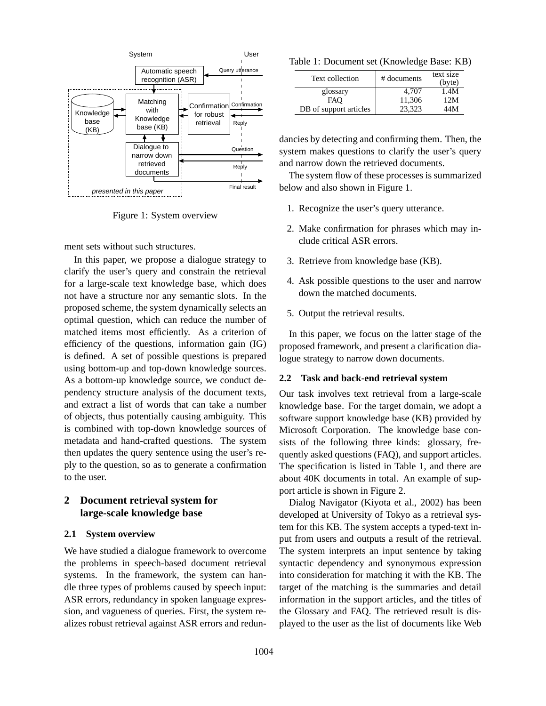

Figure 1: System overview

ment sets without such structures.

In this paper, we propose a dialogue strategy to clarify the user's query and constrain the retrieval for a large-scale text knowledge base, which does not have a structure nor any semantic slots. In the proposed scheme, the system dynamically selects an optimal question, which can reduce the number of matched items most efficiently. As a criterion of efficiency of the questions, information gain (IG) is defined. A set of possible questions is prepared using bottom-up and top-down knowledge sources. As a bottom-up knowledge source, we conduct dependency structure analysis of the document texts, and extract a list of words that can take a number of objects, thus potentially causing ambiguity. This is combined with top-down knowledge sources of metadata and hand-crafted questions. The system then updates the query sentence using the user's reply to the question, so as to generate a confirmation to the user.

# **2 Document retrieval system for large-scale knowledge base**

#### **2.1 System overview**

We have studied a dialogue framework to overcome the problems in speech-based document retrieval systems. In the framework, the system can handle three types of problems caused by speech input: ASR errors, redundancy in spoken language expression, and vagueness of queries. First, the system realizes robust retrieval against ASR errors and redun-

Table 1: Document set (Knowledge Base: KB)

| Text collection        | # documents | text size<br>(byte) |
|------------------------|-------------|---------------------|
| glossary               | 4.707       | 1.4M                |
| <b>FAO</b>             | 11,306      | 12M                 |
| DB of support articles | 23.323      | 44M                 |

dancies by detecting and confirming them. Then, the system makes questions to clarify the user's query and narrow down the retrieved documents.

The system flow of these processes is summarized below and also shown in Figure 1.

- 1. Recognize the user's query utterance.
- 2. Make confirmation for phrases which may include critical ASR errors.
- 3. Retrieve from knowledge base (KB).
- 4. Ask possible questions to the user and narrow down the matched documents.
- 5. Output the retrieval results.

In this paper, we focus on the latter stage of the proposed framework, and present a clarification dialogue strategy to narrow down documents.

#### **2.2 Task and back-end retrieval system**

Our task involves text retrieval from a large-scale knowledge base. For the target domain, we adopt a software support knowledge base (KB) provided by Microsoft Corporation. The knowledge base consists of the following three kinds: glossary, frequently asked questions (FAQ), and support articles. The specification is listed in Table 1, and there are about 40K documents in total. An example of support article is shown in Figure 2.

Dialog Navigator (Kiyota et al., 2002) has been developed at University of Tokyo as a retrieval system for this KB. The system accepts a typed-text input from users and outputs a result of the retrieval. The system interprets an input sentence by taking syntactic dependency and synonymous expression into consideration for matching it with the KB. The target of the matching is the summaries and detail information in the support articles, and the titles of the Glossary and FAQ. The retrieved result is displayed to the user as the list of documents like Web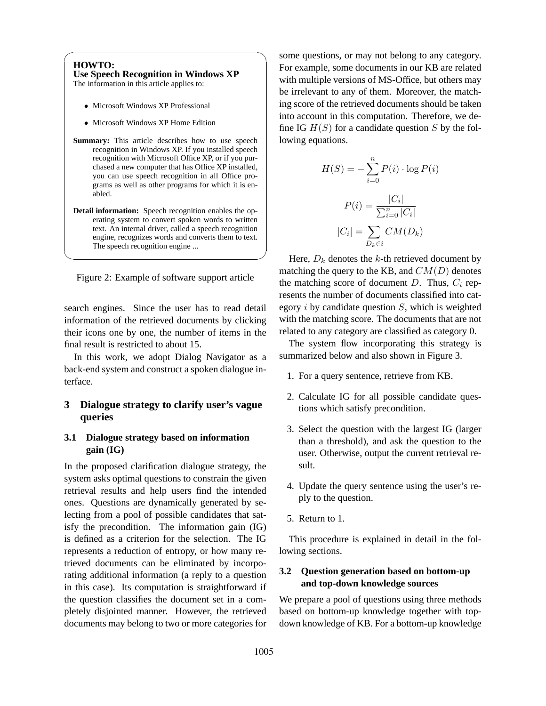| <b>Use Speech Recognition in Windows XP</b><br>The information in this article applies to:                                                                                                                                                                                                                                                          |
|-----------------------------------------------------------------------------------------------------------------------------------------------------------------------------------------------------------------------------------------------------------------------------------------------------------------------------------------------------|
| • Microsoft Windows XP Professional                                                                                                                                                                                                                                                                                                                 |
| • Microsoft Windows XP Home Edition                                                                                                                                                                                                                                                                                                                 |
| <b>Summary:</b> This article describes how to use speech<br>recognition in Windows XP. If you installed speech<br>recognition with Microsoft Office XP, or if you pur-<br>chased a new computer that has Office XP installed,<br>you can use speech recognition in all Office pro-<br>grams as well as other programs for which it is en-<br>abled. |
| <b>Detail information:</b> Speech recognition enables the op-<br>erating system to convert spoken words to written<br>text. An internal driver, called a speech recognition<br>engine, recognizes words and converts them to text.<br>The speech recognition engine                                                                                 |

search engines. Since the user has to read detail information of the retrieved documents by clicking their icons one by one, the number of items in the final result is restricted to about 15.

In this work, we adopt Dialog Navigator as a back-end system and construct a spoken dialogue interface.

# **3 Dialogue strategy to clarify user's vague queries**

# **3.1 Dialogue strategy based on information gain (IG)**

In the proposed clarification dialogue strategy, the system asks optimal questions to constrain the given retrieval results and help users find the intended ones. Questions are dynamically generated by selecting from a pool of possible candidates that satisfy the precondition. The information gain (IG) is defined as a criterion for the selection. The IG represents a reduction of entropy, or how many retrieved documents can be eliminated by incorporating additional information (a reply to a question in this case). Its computation is straightforward if the question classifies the document set in a completely disjointed manner. However, the retrieved documents may belong to two or more categories for

some questions, or may not belong to any category. example, some documents in our KB are related h multiple versions of MS-Office, but others may irrelevant to any of them. Moreover, the matchscore of the retrieved documents should be taken in account in this computation. Therefore, we de-IG  $H(S)$  for a candidate question S by the foling equations.

$$
H(S) = -\sum_{i=0}^{n} P(i) \cdot \log P(i)
$$

$$
P(i) = \frac{|C_i|}{\sum_{i=0}^{n} |C_i|}
$$

$$
|C_i| = \sum_{D_k \in i} CM(D_k)
$$

Here,  $D_k$  denotes the  $k$ -th retrieved document by tching the query to the KB, and  $CM(D)$  denotes the matching score of document D. Thus, C*<sup>i</sup>* represents the number of documents classified into category  $i$  by candidate question  $S$ , which is weighted with the matching score. The documents that are not related to any category are classified as category 0.

The system flow incorporating this strategy is summarized below and also shown in Figure 3.

- 1. For a query sentence, retrieve from KB.
- 2. Calculate IG for all possible candidate questions which satisfy precondition.
- 3. Select the question with the largest IG (larger than a threshold), and ask the question to the user. Otherwise, output the current retrieval result.
- 4. Update the query sentence using the user's reply to the question.
- 5. Return to 1.

This procedure is explained in detail in the following sections.

# **3.2 Question generation based on bottom-up and top-down knowledge sources**

We prepare a pool of questions using three methods based on bottom-up knowledge together with topdown knowledge of KB. For a bottom-up knowledge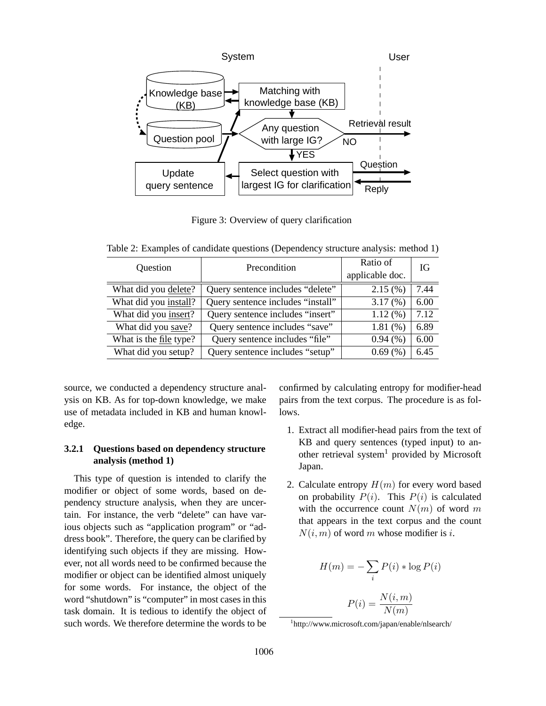

Figure 3: Overview of query clarification

Table 2: Examples of candidate questions (Dependency structure analysis: method 1)

| Question               | Precondition                      | Ratio of<br>applicable doc. | IG   |
|------------------------|-----------------------------------|-----------------------------|------|
| What did you delete?   | Query sentence includes "delete"  | 2.15(%)                     | 7.44 |
| What did you install?  | Query sentence includes "install" | 3.17(%)                     | 6.00 |
| What did you insert?   | Query sentence includes "insert"  | 1.12(%)                     | 7.12 |
| What did you save?     | Query sentence includes "save"    | 1.81(%)                     | 6.89 |
| What is the file type? | Query sentence includes "file"    | 0.94(%)                     | 6.00 |
| What did you setup?    | Query sentence includes "setup"   | 0.69(%)                     | 6.45 |

source, we conducted a dependency structure analysis on KB. As for top-down knowledge, we make use of metadata included in KB and human knowledge.

# **3.2.1 Questions based on dependency structure analysis (method 1)**

This type of question is intended to clarify the modifier or object of some words, based on dependency structure analysis, when they are uncertain. For instance, the verb "delete" can have various objects such as "application program" or "address book". Therefore, the query can be clarified by identifying such objects if they are missing. However, not all words need to be confirmed because the modifier or object can be identified almost uniquely for some words. For instance, the object of the word "shutdown" is "computer" in most cases in this task domain. It is tedious to identify the object of such words. We therefore determine the words to be confirmed by calculating entropy for modifier-head pairs from the text corpus. The procedure is as follows.

- 1. Extract all modifier-head pairs from the text of KB and query sentences (typed input) to another retrieval system<sup>1</sup> provided by Microsoft Japan.
- 2. Calculate entropy  $H(m)$  for every word based on probability  $P(i)$ . This  $P(i)$  is calculated with the occurrence count  $N(m)$  of word m that appears in the text corpus and the count  $N(i, m)$  of word m whose modifier is i.

$$
H(m) = -\sum_{i} P(i) * \log P(i)
$$

$$
P(i) = \frac{N(i, m)}{N(m)}
$$

 $N(m)$ 

<sup>1</sup> http://www.microsoft.com/japan/enable/nlsearch/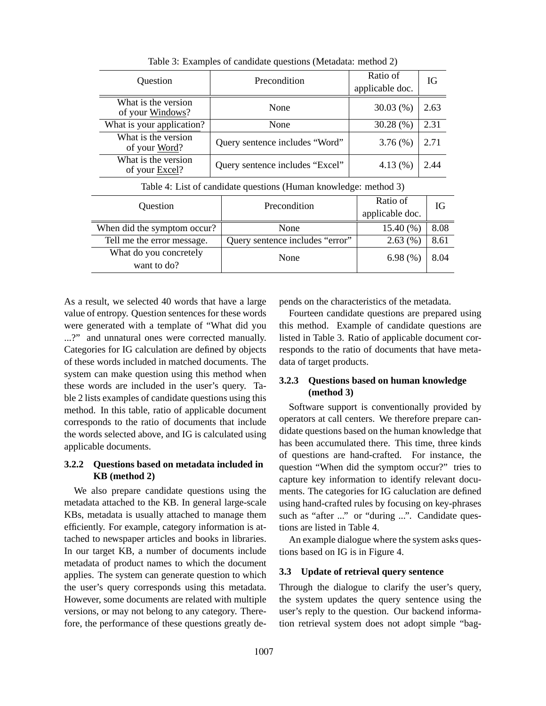| Question                                                         | Precondition                    | Ratio of<br>applicable doc. | IG   |
|------------------------------------------------------------------|---------------------------------|-----------------------------|------|
| What is the version<br>of your Windows?                          | None                            | 30.03(%)                    | 2.63 |
| What is your application?                                        | None                            | 30.28(%)                    | 2.31 |
| What is the version<br>of your Word?                             | Query sentence includes "Word"  | $3.76\,(%)$                 | 2.71 |
| What is the version<br>of your Excel?                            | Query sentence includes "Excel" | 4.13(%)                     | 2.44 |
| Table 4: List of candidate questions (Human knowledge: method 3) |                                 |                             |      |
| Question                                                         | Precondition                    | Ratio of<br>applicable doc. | IG   |
| When did the symptom occur?                                      | None                            | $15.40\,(%)$                | 8.08 |
| Tell me the error message.                                       | Query sentence includes "error" | $2.63\ (%)$                 | 8.61 |
| What do you concretely<br>want to do?                            | None                            | 6.98 $(\% )$                | 8.04 |

Table 3: Examples of candidate questions (Metadata: method 2)

As a result, we selected 40 words that have a large value of entropy. Question sentences for these words were generated with a template of "What did you ...?" and unnatural ones were corrected manually. Categories for IG calculation are defined by objects of these words included in matched documents. The system can make question using this method when these words are included in the user's query. Table 2 lists examples of candidate questions using this method. In this table, ratio of applicable document corresponds to the ratio of documents that include the words selected above, and IG is calculated using applicable documents.

# **3.2.2 Questions based on metadata included in KB (method 2)**

We also prepare candidate questions using the metadata attached to the KB. In general large-scale KBs, metadata is usually attached to manage them efficiently. For example, category information is attached to newspaper articles and books in libraries. In our target KB, a number of documents include metadata of product names to which the document applies. The system can generate question to which the user's query corresponds using this metadata. However, some documents are related with multiple versions, or may not belong to any category. Therefore, the performance of these questions greatly depends on the characteristics of the metadata.

Fourteen candidate questions are prepared using this method. Example of candidate questions are listed in Table 3. Ratio of applicable document corresponds to the ratio of documents that have metadata of target products.

# **3.2.3 Questions based on human knowledge (method 3)**

Software support is conventionally provided by operators at call centers. We therefore prepare candidate questions based on the human knowledge that has been accumulated there. This time, three kinds of questions are hand-crafted. For instance, the question "When did the symptom occur?" tries to capture key information to identify relevant documents. The categories for IG caluclation are defined using hand-crafted rules by focusing on key-phrases such as "after ..." or "during ...". Candidate questions are listed in Table 4.

An example dialogue where the system asks questions based on IG is in Figure 4.

#### **3.3 Update of retrieval query sentence**

Through the dialogue to clarify the user's query, the system updates the query sentence using the user's reply to the question. Our backend information retrieval system does not adopt simple "bag-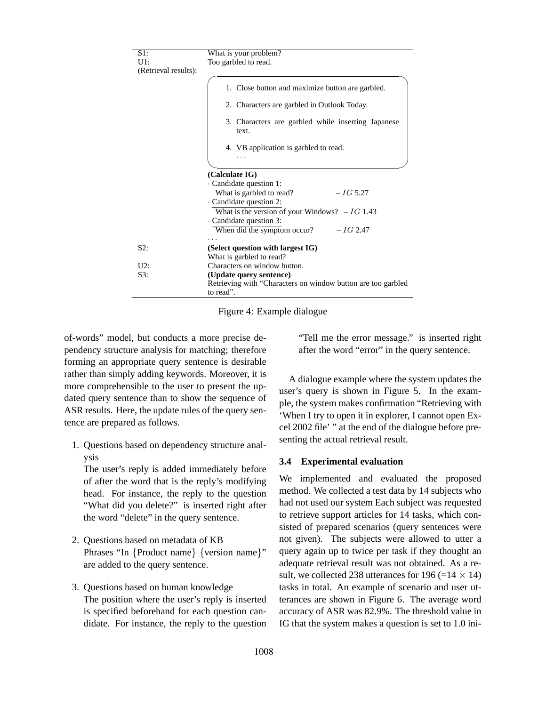| $S1$ :               | What is your problem?                                                     |  |
|----------------------|---------------------------------------------------------------------------|--|
| $U1$ :               | Too garbled to read.                                                      |  |
| (Retrieval results): |                                                                           |  |
|                      |                                                                           |  |
|                      | 1. Close button and maximize button are garbled.                          |  |
|                      | 2. Characters are garbled in Outlook Today.                               |  |
|                      | 3. Characters are garbled while inserting Japanese<br>text.               |  |
|                      | 4. VB application is garbled to read.                                     |  |
|                      |                                                                           |  |
|                      |                                                                           |  |
|                      | (Calculate IG)                                                            |  |
|                      | Candidate question 1:                                                     |  |
|                      | What is garbled to read?<br>$-IG\,5.27$                                   |  |
|                      | Candidate question 2:                                                     |  |
|                      | What is the version of your Windows? $-IG$ 1.43                           |  |
|                      | Candidate question 3:                                                     |  |
|                      | $-IG$ 2.47<br>When did the symptom occur?                                 |  |
|                      |                                                                           |  |
| S2:                  | (Select question with largest IG)                                         |  |
|                      | What is garbled to read?                                                  |  |
| U2:                  | Characters on window button.                                              |  |
| S3:                  | (Update query sentence)                                                   |  |
|                      | Retrieving with "Characters on window button are too garbled<br>to read". |  |

Figure 4: Example dialogue

of-words" model, but conducts a more precise dependency structure analysis for matching; therefore forming an appropriate query sentence is desirable rather than simply adding keywords. Moreover, it is more comprehensible to the user to present the updated query sentence than to show the sequence of ASR results. Here, the update rules of the query sentence are prepared as follows.

1. Questions based on dependency structure analysis

The user's reply is added immediately before of after the word that is the reply's modifying head. For instance, the reply to the question "What did you delete?" is inserted right after the word "delete" in the query sentence.

- 2. Questions based on metadata of KB Phrases "In {Product name} {version name}" are added to the query sentence.
- 3. Questions based on human knowledge The position where the user's reply is inserted is specified beforehand for each question candidate. For instance, the reply to the question

"Tell me the error message." is inserted right after the word "error" in the query sentence.

A dialogue example where the system updates the user's query is shown in Figure 5. In the example, the system makes confirmation "Retrieving with 'When I try to open it in explorer, I cannot open Excel 2002 file' " at the end of the dialogue before presenting the actual retrieval result.

### **3.4 Experimental evaluation**

We implemented and evaluated the proposed method. We collected a test data by 14 subjects who had not used our system Each subject was requested to retrieve support articles for 14 tasks, which consisted of prepared scenarios (query sentences were not given). The subjects were allowed to utter a query again up to twice per task if they thought an adequate retrieval result was not obtained. As a result, we collected 238 utterances for 196 (= $14 \times 14$ ) tasks in total. An example of scenario and user utterances are shown in Figure 6. The average word accuracy of ASR was 82.9%. The threshold value in IG that the system makes a question is set to 1.0 ini-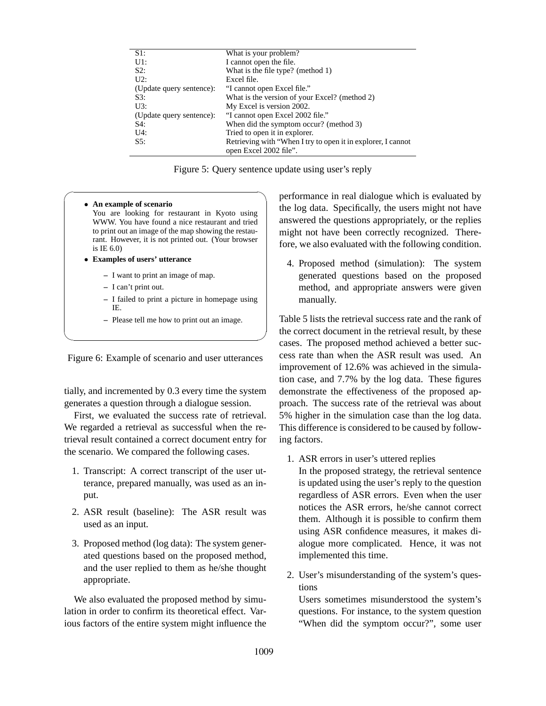| $\overline{S1}$ :        | What is your problem?                                        |
|--------------------------|--------------------------------------------------------------|
| $U1$ :                   | I cannot open the file.                                      |
| S2:                      | What is the file type? (method 1)                            |
| $U2$ :                   | Excel file.                                                  |
| (Update query sentence): | "I cannot open Excel file."                                  |
| S3:                      | What is the version of your Excel? (method 2)                |
| U3:                      | My Excel is version 2002.                                    |
| (Update query sentence): | "I cannot open Excel 2002 file."                             |
| S4:                      | When did the symptom occur? (method 3)                       |
| $U4$ :                   | Tried to open it in explorer.                                |
| S5:                      | Retrieving with "When I try to open it in explorer, I cannot |
|                          | open Excel 2002 file".                                       |

Figure 5: Query sentence update using user's reply

#### • **An example of scenario**

You are looking for restaurant in Kyoto using WWW. You have found a nice restaurant and tried to print out an image of the map showing the restaurant. However, it is not printed out. (Your browser is IE 6.0)

- **Examples of users' utterance**
	- **–** I want to print an image of map.
	- **–** I can't print out.
	- **–** I failed to print a picture in homepage using IE.
	- **–** Please tell me how to print out an image.

Figure 6: Example of scenario and user utterances

tially, and incremented by 0.3 every time the system generates a question through a dialogue session.

First, we evaluated the success rate of retrieval. We regarded a retrieval as successful when the retrieval result contained a correct document entry for the scenario. We compared the following cases.

- 1. Transcript: A correct transcript of the user utterance, prepared manually, was used as an input.
- 2. ASR result (baseline): The ASR result was used as an input.
- 3. Proposed method (log data): The system generated questions based on the proposed method, and the user replied to them as he/she thought appropriate.

We also evaluated the proposed method by simulation in order to confirm its theoretical effect. Various factors of the entire system might influence the

 $\sqrt{2\pi}$ performance in real dialogue which is evaluated by the log data. Specifically, the users might not have answered the questions appropriately, or the replies might not have been correctly recognized. Therefore, we also evaluated with the following condition.

> 4. Proposed method (simulation): The system generated questions based on the proposed method, and appropriate answers were given manually.

✒ ✑ Table 5 lists the retrieval success rate and the rank of the correct document in the retrieval result, by these cases. The proposed method achieved a better success rate than when the ASR result was used. An improvement of 12.6% was achieved in the simulation case, and 7.7% by the log data. These figures demonstrate the effectiveness of the proposed approach. The success rate of the retrieval was about 5% higher in the simulation case than the log data. This difference is considered to be caused by following factors.

1. ASR errors in user's uttered replies

In the proposed strategy, the retrieval sentence is updated using the user's reply to the question regardless of ASR errors. Even when the user notices the ASR errors, he/she cannot correct them. Although it is possible to confirm them using ASR confidence measures, it makes dialogue more complicated. Hence, it was not implemented this time.

2. User's misunderstanding of the system's questions

Users sometimes misunderstood the system's questions. For instance, to the system question "When did the symptom occur?", some user